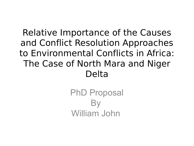#### Relative Importance of the Causes and Conflict Resolution Approaches to Environmental Conflicts in Africa: The Case of North Mara and Niger Delta

PhD Proposal By William John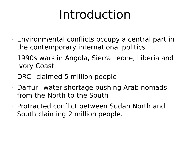#### Introduction

- $\cdot$  Environmental conflicts occupy a central part in the contemporary international politics
- 1990s wars in Angola, Sierra Leone, Liberia and Ivory Coast
- $\cdot$  DRC –claimed 5 million people
- Darfur –water shortage pushing Arab nomads from the North to the South
- Protracted conflict between Sudan North and South claiming 2 million people.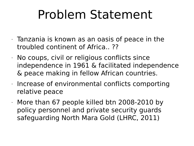#### Problem Statement

- $\cdot$  Tanzania is known as an oasis of peace in the troubled continent of Africa.. ??
- $\cdot$  No coups, civil or religious conflicts since independence in 1961 & facilitated independence & peace making in fellow African countries.
- $\cdot$  Increase of environmental conflicts comporting relative peace
- More than 67 people killed btn 2008-2010 by policy personnel and private security guards safeguarding North Mara Gold (LHRC, 2011)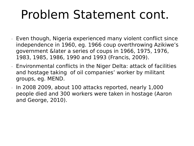#### Problem Statement cont.

- Even though, Nigeria experienced many violent conflict since independence in 1960, eg. 1966 coup overthrowing Azikiwe's government &later a series of coups in 1966, 1975, 1976, 1983, 1985, 1986, 1990 and 1993 (Francis, 2009).
- Environmental conflicts in the Niger Delta: attack of facilities and hostage taking of oil companies' worker by militant groups, eg. MEND.
- In 2008 2009, about 100 attacks reported, nearly 1,000 people died and 300 workers were taken in hostage (Aaron and George, 2010).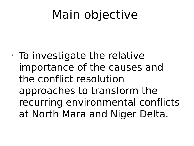#### Main objective

 $\cdot$  To investigate the relative importance of the causes and the conflict resolution approaches to transform the recurring environmental conflicts at North Mara and Niger Delta.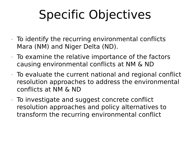## Specific Objectives

- $\cdot$  To identify the recurring environmental conflicts Mara (NM) and Niger Delta (ND).
- $\cdot$  To examine the relative importance of the factors causing environmental conflicts at NM & ND
- $\cdot$  To evaluate the current national and regional conflict resolution approaches to address the environmental conflicts at NM & ND
- $\cdot$  To investigate and suggest concrete conflict resolution approaches and policy alternatives to transform the recurring environmental conflict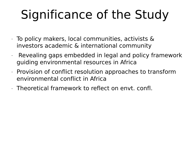# Significance of the Study

- $\cdot$  To policy makers, local communities, activists & investors academic & international community
- $\cdot$  Revealing gaps embedded in legal and policy framework guiding environmental resources in Africa
- $\cdot$  Provision of conflict resolution approaches to transform environmental conflict in Africa
- Theoretical framework to reflect on envt. confl.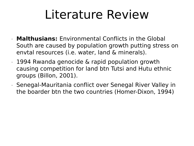#### Literature Review

- **Malthusians:** Environmental Conflicts in the Global South are caused by population growth putting stress on envtal resources (i.e. water, land & minerals).
- 1994 Rwanda genocide & rapid population growth causing competition for land btn Tutsi and Hutu ethnic groups (Billon, 2001).
- Senegal-Mauritania conflict over Senegal River Valley in the boarder btn the two countries (Homer-Dixon, 1994)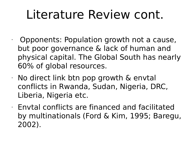#### Literature Review cont.

- $\cdot$  Opponents: Population growth not a cause, but poor governance & lack of human and physical capital. The Global South has nearly 60% of global resources.
- $\cdot$  No direct link btn pop growth & envtal conflicts in Rwanda, Sudan, Nigeria, DRC, Liberia, Nigeria etc.
- $\cdot$  Envtal conflicts are financed and facilitated by multinationals (Ford & Kim, 1995; Baregu, 2002).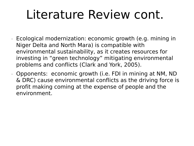#### Literature Review cont.

- Ecological modernization: economic growth (e.g. mining in Niger Delta and North Mara) is compatible with environmental sustainability, as it creates resources for investing in "green technology" mitigating environmental problems and conflicts (Clark and York, 2005).
- Opponents: economic growth (i.e. FDI in mining at NM, ND & DRC) cause environmental conflicts as the driving force is profit making coming at the expense of people and the environment.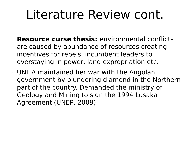#### Literature Review cont.

- **Resource curse thesis:** environmental conflicts are caused by abundance of resources creating incentives for rebels, incumbent leaders to overstaying in power, land expropriation etc.
- UNITA maintained her war with the Angolan government by plundering diamond in the Northern part of the country. Demanded the ministry of Geology and Mining to sign the 1994 Lusaka Agreement (UNEP, 2009).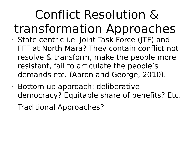#### Conflict Resolution & transformation Approaches • State centric i.e. Joint Task Force (JTF) and FFF at North Mara? They contain conflict not resolve & transform, make the people more resistant, fail to articulate the people's demands etc. (Aaron and George, 2010).

- Bottom up approach: deliberative democracy? Equitable share of benefits? Etc.
- Traditional Approaches?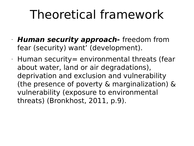#### Theoretical framework

- **Human security approach-** freedom from fear (security) want' (development).
- $\cdot$  Human security= environmental threats (fear about water, land or air degradations), deprivation and exclusion and vulnerability (the presence of poverty & marginalization) & vulnerability (exposure to environmental threats) (Bronkhost, 2011, p.9).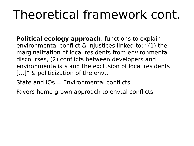## Theoretical framework cont.

- **Political ecology approach**: functions to explain environmental conflict & injustices linked to: "(1) the marginalization of local residents from environmental discourses, (2) conflicts between developers and environmentalists and the exclusion of local residents […]" & politicization of the envt.
- $\cdot$  State and IOs = Environmental conflicts
- Favors home grown approach to envtal conflicts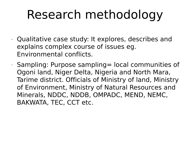### Research methodology

- Qualitative case study: It explores, describes and explains complex course of issues eg. Environmental conflicts.
- $\cdot$  Sampling: Purpose sampling = local communities of Ogoni land, Niger Delta, Nigeria and North Mara, Tarime district. Officials of Ministry of land, Ministry of Environment, Ministry of Natural Resources and Minerals, NDDC, NDDB, OMPADC, MEND, NEMC, BAKWATA, TEC, CCT etc.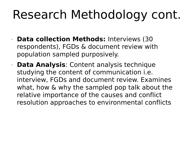## Research Methodology cont.

- **Data collection Methods:** Interviews (30 respondents), FGDs & document review with population sampled purposively.
- **Data Analysis**: Content analysis technique studying the content of communication i.e. interview, FGDs and document review. Examines what, how & why the sampled pop talk about the relative importance of the causes and conflict resolution approaches to environmental conflicts